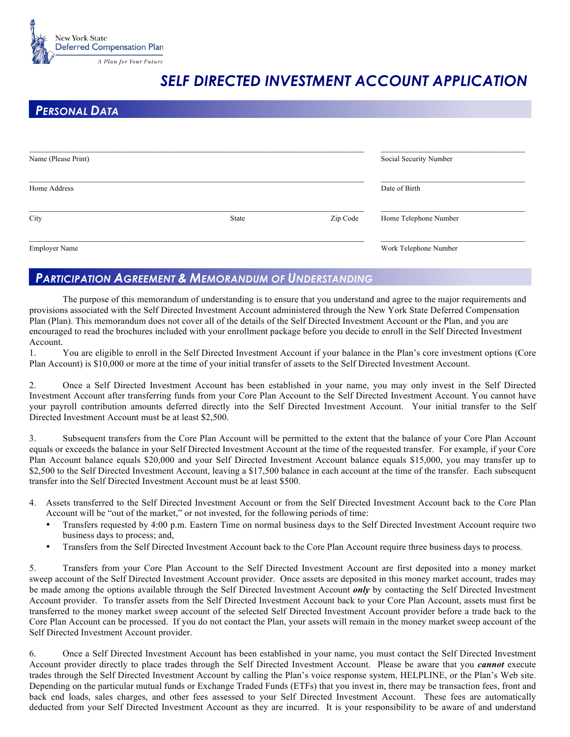

## *SELF DIRECTED INVESTMENT ACCOUNT APPLICATION*

## *PERSONAL DATA*

| Name (Please Print)  |       |          | Social Security Number |  |
|----------------------|-------|----------|------------------------|--|
| Home Address         |       |          | Date of Birth          |  |
| City                 | State | Zip Code | Home Telephone Number  |  |
| <b>Employer Name</b> |       |          | Work Telephone Number  |  |

## *PARTICIPATION AGREEMENT & MEMORANDUM OF UNDERSTANDING*

The purpose of this memorandum of understanding is to ensure that you understand and agree to the major requirements and provisions associated with the Self Directed Investment Account administered through the New York State Deferred Compensation Plan (Plan). This memorandum does not cover all of the details of the Self Directed Investment Account or the Plan, and you are encouraged to read the brochures included with your enrollment package before you decide to enroll in the Self Directed Investment Account.

1. You are eligible to enroll in the Self Directed Investment Account if your balance in the Plan's core investment options (Core Plan Account) is \$10,000 or more at the time of your initial transfer of assets to the Self Directed Investment Account.

2. Once a Self Directed Investment Account has been established in your name, you may only invest in the Self Directed Investment Account after transferring funds from your Core Plan Account to the Self Directed Investment Account. You cannot have your payroll contribution amounts deferred directly into the Self Directed Investment Account. Your initial transfer to the Self Directed Investment Account must be at least \$2,500.

3. Subsequent transfers from the Core Plan Account will be permitted to the extent that the balance of your Core Plan Account equals or exceeds the balance in your Self Directed Investment Account at the time of the requested transfer. For example, if your Core Plan Account balance equals \$20,000 and your Self Directed Investment Account balance equals \$15,000, you may transfer up to \$2,500 to the Self Directed Investment Account, leaving a \$17,500 balance in each account at the time of the transfer. Each subsequent transfer into the Self Directed Investment Account must be at least \$500.

- 4. Assets transferred to the Self Directed Investment Account or from the Self Directed Investment Account back to the Core Plan Account will be "out of the market," or not invested, for the following periods of time:
	- Transfers requested by 4:00 p.m. Eastern Time on normal business days to the Self Directed Investment Account require two business days to process; and,
	- Transfers from the Self Directed Investment Account back to the Core Plan Account require three business days to process.

5. Transfers from your Core Plan Account to the Self Directed Investment Account are first deposited into a money market sweep account of the Self Directed Investment Account provider. Once assets are deposited in this money market account, trades may be made among the options available through the Self Directed Investment Account *only* by contacting the Self Directed Investment Account provider. To transfer assets from the Self Directed Investment Account back to your Core Plan Account, assets must first be transferred to the money market sweep account of the selected Self Directed Investment Account provider before a trade back to the Core Plan Account can be processed. If you do not contact the Plan, your assets will remain in the money market sweep account of the Self Directed Investment Account provider.

6. Once a Self Directed Investment Account has been established in your name, you must contact the Self Directed Investment Account provider directly to place trades through the Self Directed Investment Account. Please be aware that you *cannot* execute trades through the Self Directed Investment Account by calling the Plan's voice response system, HELPLINE, or the Plan's Web site. Depending on the particular mutual funds or Exchange Traded Funds (ETFs) that you invest in, there may be transaction fees, front and back end loads, sales charges, and other fees assessed to your Self Directed Investment Account. These fees are automatically deducted from your Self Directed Investment Account as they are incurred. It is your responsibility to be aware of and understand